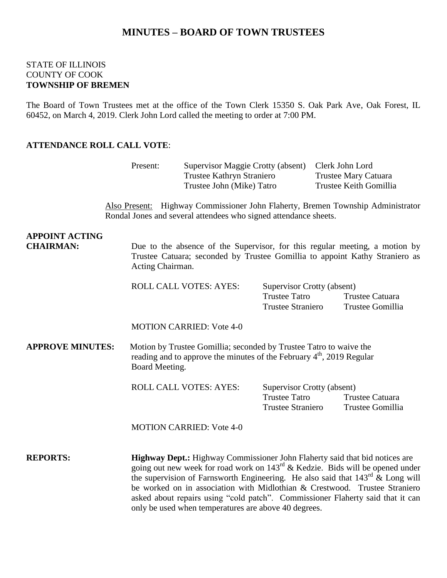# **MINUTES – BOARD OF TOWN TRUSTEES**

### STATE OF ILLINOIS COUNTY OF COOK **TOWNSHIP OF BREMEN**

The Board of Town Trustees met at the office of the Town Clerk 15350 S. Oak Park Ave, Oak Forest, IL 60452, on March 4, 2019. Clerk John Lord called the meeting to order at 7:00 PM.

#### **ATTENDANCE ROLL CALL VOTE**:

|                                           | Present:                                                                                                                                                                       | Supervisor Maggie Crotty (absent)<br>Trustee Kathryn Straniero<br>Trustee John (Mike) Tatro                                         |                                                                                |  | Clerk John Lord<br><b>Trustee Mary Catuara</b><br>Trustee Keith Gomillia                                                                                                                                                                                                                                                                      |
|-------------------------------------------|--------------------------------------------------------------------------------------------------------------------------------------------------------------------------------|-------------------------------------------------------------------------------------------------------------------------------------|--------------------------------------------------------------------------------|--|-----------------------------------------------------------------------------------------------------------------------------------------------------------------------------------------------------------------------------------------------------------------------------------------------------------------------------------------------|
|                                           |                                                                                                                                                                                | Rondal Jones and several attendees who signed attendance sheets.                                                                    |                                                                                |  | Also Present: Highway Commissioner John Flaherty, Bremen Township Administrator                                                                                                                                                                                                                                                               |
| <b>APPOINT ACTING</b><br><b>CHAIRMAN:</b> | Due to the absence of the Supervisor, for this regular meeting, a motion by<br>Trustee Catuara; seconded by Trustee Gomillia to appoint Kathy Straniero as<br>Acting Chairman. |                                                                                                                                     |                                                                                |  |                                                                                                                                                                                                                                                                                                                                               |
|                                           |                                                                                                                                                                                | ROLL CALL VOTES: AYES:                                                                                                              | Supervisor Crotty (absent)<br><b>Trustee Tatro</b><br><b>Trustee Straniero</b> |  | Trustee Catuara<br>Trustee Gomillia                                                                                                                                                                                                                                                                                                           |
|                                           |                                                                                                                                                                                | <b>MOTION CARRIED: Vote 4-0</b>                                                                                                     |                                                                                |  |                                                                                                                                                                                                                                                                                                                                               |
| <b>APPROVE MINUTES:</b>                   | Motion by Trustee Gomillia; seconded by Trustee Tatro to waive the<br>reading and to approve the minutes of the February 4 <sup>th</sup> , 2019 Regular<br>Board Meeting.      |                                                                                                                                     |                                                                                |  |                                                                                                                                                                                                                                                                                                                                               |
|                                           |                                                                                                                                                                                | <b>ROLL CALL VOTES: AYES:</b>                                                                                                       | Supervisor Crotty (absent)<br><b>Trustee Tatro</b><br><b>Trustee Straniero</b> |  | <b>Trustee Catuara</b><br>Trustee Gomillia                                                                                                                                                                                                                                                                                                    |
|                                           |                                                                                                                                                                                | <b>MOTION CARRIED: Vote 4-0</b>                                                                                                     |                                                                                |  |                                                                                                                                                                                                                                                                                                                                               |
| <b>REPORTS:</b>                           |                                                                                                                                                                                | Highway Dept.: Highway Commissioner John Flaherty said that bid notices are<br>only be used when temperatures are above 40 degrees. |                                                                                |  | going out new week for road work on $143^{\text{rd}}$ & Kedzie. Bids will be opened under<br>the supervision of Farnsworth Engineering. He also said that $143rd$ & Long will<br>be worked on in association with Midlothian & Crestwood. Trustee Straniero<br>asked about repairs using "cold patch". Commissioner Flaherty said that it can |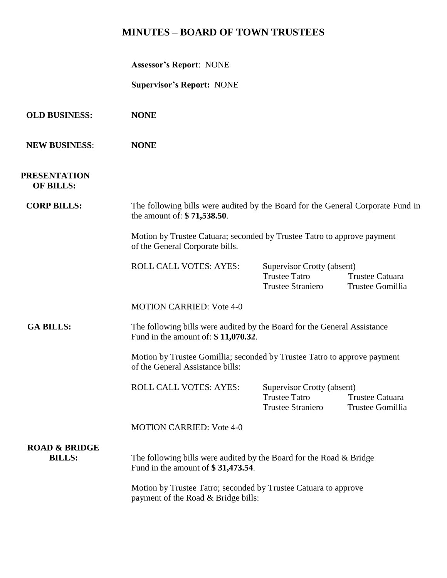# **MINUTES – BOARD OF TOWN TRUSTEES**

| <b>Assessor's Report: NONE</b> |  |  |
|--------------------------------|--|--|
|--------------------------------|--|--|

**Supervisor's Report:** NONE

| <b>OLD BUSINESS:</b> | <b>NONE</b> |
|----------------------|-------------|
|                      |             |

**NEW BUSINESS**: **NONE**

## **PRESENTATION OF BILLS:**

**CORP BILLS:** The following bills were audited by the Board for the General Corporate Fund in the amount of: **\$ 71,538.50**.

> Motion by Trustee Catuara; seconded by Trustee Tatro to approve payment of the General Corporate bills.

| ROLL CALL VOTES: AYES: | Supervisor Crotty (absent) |  |
|------------------------|----------------------------|--|
|                        |                            |  |

| Supervisor Crotty (absent) |                  |
|----------------------------|------------------|
| Trustee Tatro              | Trustee Catuara  |
| Trustee Straniero          | Trustee Gomillia |

MOTION CARRIED: Vote 4-0

## GA BILLS: The following bills were audited by the Board for the General Assistance Fund in the amount of: **\$ 11,070.32**.

Motion by Trustee Gomillia; seconded by Trustee Tatro to approve payment of the General Assistance bills:

| ROLL CALL VOTES: AYES: | Supervisor Crotty (absent) |                  |  |
|------------------------|----------------------------|------------------|--|
|                        | Trustee Tatro              | Trustee Catuara  |  |
|                        | <b>Trustee Straniero</b>   | Trustee Gomillia |  |

MOTION CARRIED: Vote 4-0

# **ROAD & BRIDGE**

**BILLS:** The following bills were audited by the Board for the Road & Bridge Fund in the amount of **\$ 31,473.54**.

> Motion by Trustee Tatro; seconded by Trustee Catuara to approve payment of the Road & Bridge bills: